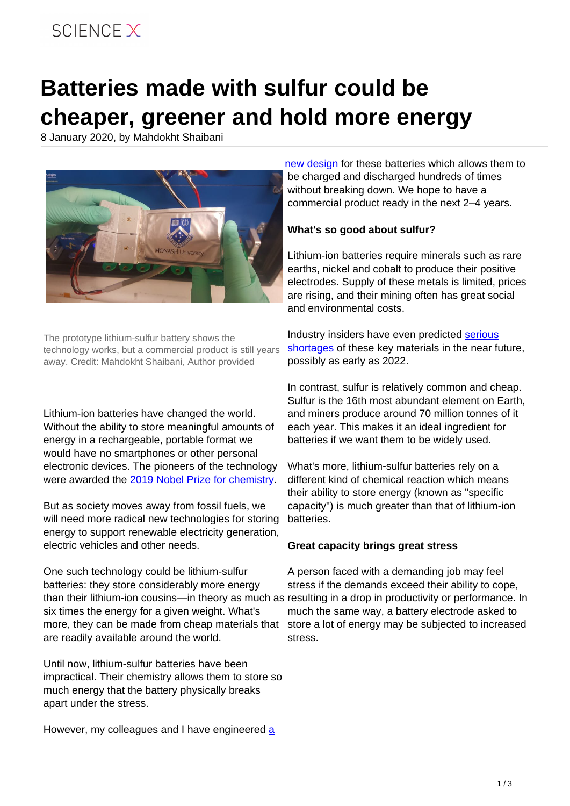## SCIFNCF X

# **Batteries made with sulfur could be cheaper, greener and hold more energy**

8 January 2020, by Mahdokht Shaibani



The prototype lithium-sulfur battery shows the technology works, but a commercial product is still years away. Credit: Mahdokht Shaibani, Author provided

Lithium-ion batteries have changed the world. Without the ability to store meaningful amounts of energy in a rechargeable, portable format we would have no smartphones or other personal electronic devices. The pioneers of the technology were awarded the [2019 Nobel Prize for chemistry](https://www.nobelprize.org/prizes/chemistry/2019/press-release/).

But as society moves away from fossil fuels, we will need more radical new technologies for storing energy to support renewable electricity generation, electric vehicles and other needs.

One such technology could be lithium-sulfur batteries: they store considerably more energy than their lithium-ion cousins—in theory as much as resulting in a drop in productivity or performance. In six times the energy for a given weight. What's more, they can be made from cheap materials that are readily available around the world.

Until now, lithium-sulfur batteries have been impractical. Their chemistry allows them to store so much energy that the battery physically breaks apart under the stress.

However, my colleagues and I have engineered [a](https://advances.sciencemag.org/content/6/1/eaay2757)

[new design](https://advances.sciencemag.org/content/6/1/eaay2757) for these batteries which allows them to be charged and discharged hundreds of times without breaking down. We hope to have a commercial product ready in the next 2–4 years.

### **What's so good about sulfur?**

Lithium-ion batteries require minerals such as rare earths, nickel and cobalt to produce their positive electrodes. Supply of these metals is limited, prices are rising, and their mining often has great social and environmental costs.

Industry insiders have even predicted [serious](https://asia.nikkei.com/Business/Markets/Commodities/Milestone-reached-in-the-recycle-of-cobalt-from-spent-EV-batteries) [shortages](https://asia.nikkei.com/Business/Markets/Commodities/Milestone-reached-in-the-recycle-of-cobalt-from-spent-EV-batteries) of these key materials in the near future, possibly as early as 2022.

In contrast, sulfur is relatively common and cheap. Sulfur is the 16th most abundant element on Earth, and miners produce around 70 million tonnes of it each year. This makes it an ideal ingredient for batteries if we want them to be widely used.

What's more, lithium-sulfur batteries rely on a different kind of chemical reaction which means their ability to store energy (known as "specific capacity") is much greater than that of lithium-ion batteries.

### **Great capacity brings great stress**

A person faced with a demanding job may feel stress if the demands exceed their ability to cope, much the same way, a battery electrode asked to store a lot of energy may be subjected to increased stress.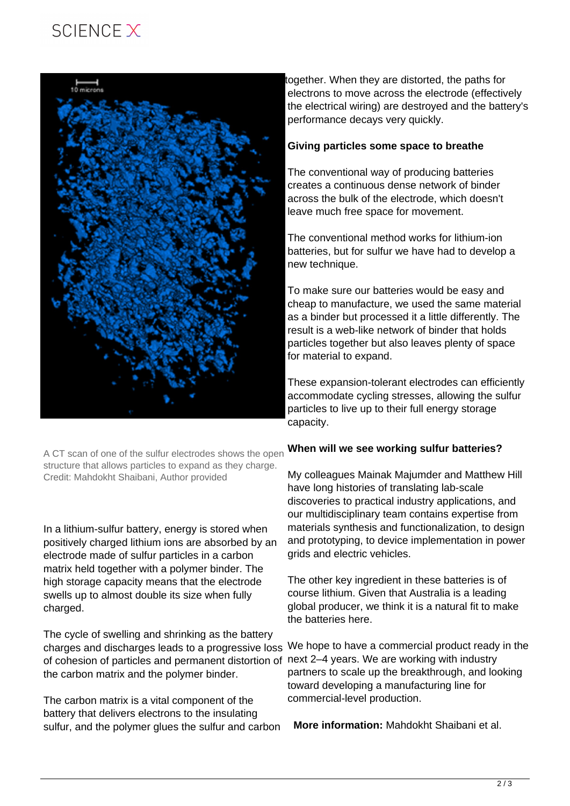### SCIFNCF X



A CT scan of one of the sulfur electrodes shows the open structure that allows particles to expand as they charge. Credit: Mahdokht Shaibani, Author provided

In a lithium-sulfur battery, energy is stored when positively charged lithium ions are absorbed by an electrode made of sulfur particles in a carbon matrix held together with a polymer binder. The high storage capacity means that the electrode swells up to almost double its size when fully charged.

The cycle of swelling and shrinking as the battery charges and discharges leads to a progressive loss We hope to have a commercial product ready in the of cohesion of particles and permanent distortion of next 2–4 years. We are working with industry the carbon matrix and the polymer binder.

The carbon matrix is a vital component of the battery that delivers electrons to the insulating sulfur, and the polymer glues the sulfur and carbon

together. When they are distorted, the paths for electrons to move across the electrode (effectively the electrical wiring) are destroyed and the battery's performance decays very quickly.

#### **Giving particles some space to breathe**

The conventional way of producing batteries creates a continuous dense network of binder across the bulk of the electrode, which doesn't leave much free space for movement.

The conventional method works for lithium-ion batteries, but for sulfur we have had to develop a new technique.

To make sure our batteries would be easy and cheap to manufacture, we used the same material as a binder but processed it a little differently. The result is a web-like network of binder that holds particles together but also leaves plenty of space for material to expand.

These expansion-tolerant electrodes can efficiently accommodate cycling stresses, allowing the sulfur particles to live up to their full energy storage capacity.

### **When will we see working sulfur batteries?**

My colleagues Mainak Majumder and Matthew Hill have long histories of translating lab-scale discoveries to practical industry applications, and our multidisciplinary team contains expertise from materials synthesis and functionalization, to design and prototyping, to device implementation in power grids and electric vehicles.

The other key ingredient in these batteries is of course lithium. Given that Australia is a leading global producer, we think it is a natural fit to make the batteries here.

partners to scale up the breakthrough, and looking toward developing a manufacturing line for commercial-level production.

**More information:** Mahdokht Shaibani et al.